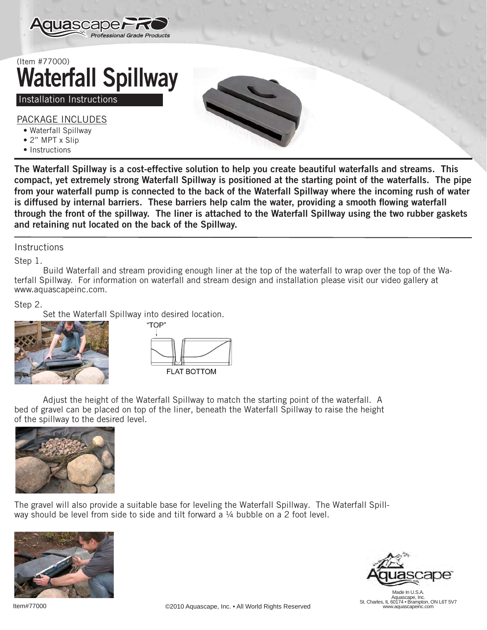

## (Item #77000) Waterfall Spillway

## Installation Instructions

PACKAGE INCLUDES

- Waterfall Spillway
- 2" MPT x Slip
- Instructions

The Waterfall Spillway is a cost-effective solution to help you create beautiful waterfalls and streams. This compact, yet extremely strong Waterfall Spillway is positioned at the starting point of the waterfalls. The pipe from your waterfall pump is connected to the back of the Waterfall Spillway where the incoming rush of water is diffused by internal barriers. These barriers help calm the water, providing a smooth flowing waterfall through the front of the spillway. The liner is attached to the Waterfall Spillway using the two rubber gaskets and retaining nut located on the back of the Spillway.

## **Instructions**

Step 1.

Build Waterfall and stream providing enough liner at the top of the waterfall to wrap over the top of the Waterfall Spillway. For information on waterfall and stream design and installation please visit our video gallery at www.aquascapeinc.com.

## Step 2.

Set the Waterfall Spillway into desired location.





Adjust the height of the Waterfall Spillway to match the starting point of the waterfall. A bed of gravel can be placed on top of the liner, beneath the Waterfall Spillway to raise the height of the spillway to the desired level.



The gravel will also provide a suitable base for leveling the Waterfall Spillway. The Waterfall Spillway should be level from side to side and tilt forward a  $\frac{1}{4}$  bubble on a 2 foot level.





Made In U.S.A. Aquascape, Inc. St. Charles, IL 60174 • Brampton, ON L6T 5V7 www.aquascapeinc.com